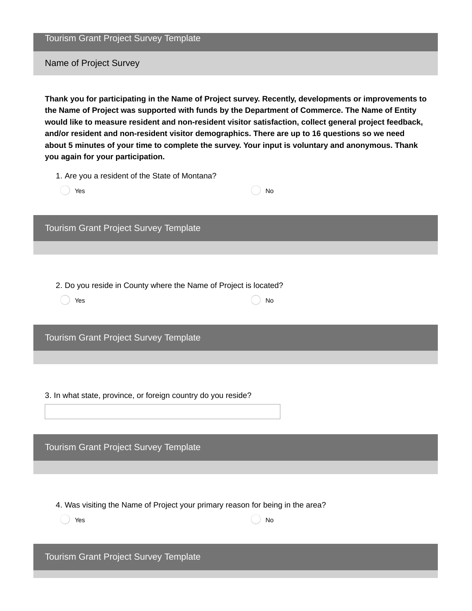Tourism Grant Project Survey Template

Name of Project Survey

**Thank you for participating in the Name of Project survey. Recently, developments or improvements to the Name of Project was supported with funds by the Department of Commerce. The Name of Entity would like to measure resident and non-resident visitor satisfaction, collect general project feedback, and/or resident and non-resident visitor demographics. There are up to 16 questions so we need about 5 minutes of your time to complete the survey. Your input is voluntary and anonymous. Thank you again for your participation.**

1. Are you a resident of the State of Montana?

| 1. Are you a resident of the state of montana:                   |                              |
|------------------------------------------------------------------|------------------------------|
| Yes                                                              | No                           |
|                                                                  |                              |
|                                                                  |                              |
|                                                                  |                              |
|                                                                  |                              |
| Tourism Grant Project Survey Template                            |                              |
|                                                                  |                              |
|                                                                  |                              |
|                                                                  |                              |
|                                                                  |                              |
|                                                                  |                              |
| 2. Do you reside in County where the Name of Project is located? |                              |
| Yes                                                              | $\operatorname{\mathsf{No}}$ |
|                                                                  |                              |
|                                                                  |                              |
|                                                                  |                              |
|                                                                  |                              |
| Tourism Grant Project Survey Template                            |                              |
|                                                                  |                              |
|                                                                  |                              |
|                                                                  |                              |
|                                                                  |                              |
|                                                                  |                              |
| 3. In what state, province, or foreign country do you reside?    |                              |
|                                                                  |                              |
|                                                                  |                              |
|                                                                  |                              |
|                                                                  |                              |

Tourism Grant Project Survey Template

4. Was visiting the Name of Project your primary reason for being in the area?

**Yes** No. 2016 **No. 2016** 

Tourism Grant Project Survey Template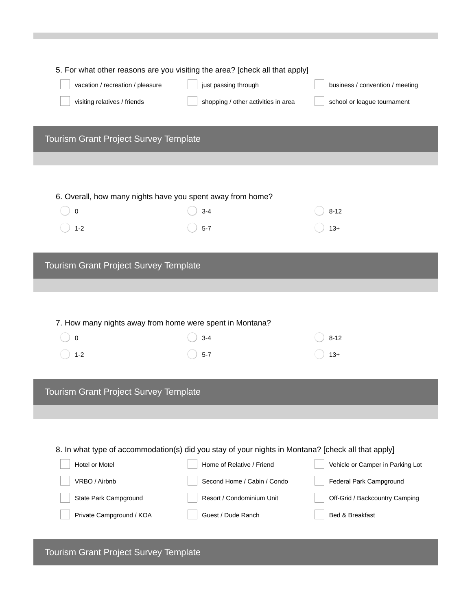|                                                            | 5. For what other reasons are you visiting the area? [check all that apply]                        |                                  |
|------------------------------------------------------------|----------------------------------------------------------------------------------------------------|----------------------------------|
| vacation / recreation / pleasure                           | just passing through                                                                               | business / convention / meeting  |
| visiting relatives / friends                               | shopping / other activities in area                                                                | school or league tournament      |
|                                                            |                                                                                                    |                                  |
| Tourism Grant Project Survey Template                      |                                                                                                    |                                  |
|                                                            |                                                                                                    |                                  |
|                                                            |                                                                                                    |                                  |
| 6. Overall, how many nights have you spent away from home? |                                                                                                    |                                  |
| 0                                                          | $3 - 4$                                                                                            | $8 - 12$                         |
| $1 - 2$                                                    | $5 - 7$                                                                                            | $13+$                            |
|                                                            |                                                                                                    |                                  |
| Tourism Grant Project Survey Template                      |                                                                                                    |                                  |
|                                                            |                                                                                                    |                                  |
|                                                            |                                                                                                    |                                  |
|                                                            |                                                                                                    |                                  |
| 7. How many nights away from home were spent in Montana?   |                                                                                                    |                                  |
| 0                                                          | $3 - 4$                                                                                            | $8 - 12$                         |
| $1 - 2$                                                    | $5 - 7$                                                                                            | $13+$                            |
|                                                            |                                                                                                    |                                  |
| Tourism Grant Project Survey Template                      |                                                                                                    |                                  |
|                                                            |                                                                                                    |                                  |
|                                                            |                                                                                                    |                                  |
|                                                            | 8. In what type of accommodation(s) did you stay of your nights in Montana? [check all that apply] |                                  |
| Hotel or Motel                                             | Home of Relative / Friend                                                                          | Vehicle or Camper in Parking Lot |
| VRBO / Airbnb                                              | Second Home / Cabin / Condo                                                                        | Federal Park Campground          |
| State Park Campground                                      | Resort / Condominium Unit                                                                          | Off-Grid / Backcountry Camping   |
|                                                            |                                                                                                    |                                  |
| Private Campground / KOA                                   | Guest / Dude Ranch                                                                                 | Bed & Breakfast                  |
|                                                            |                                                                                                    |                                  |

Tourism Grant Project Survey Template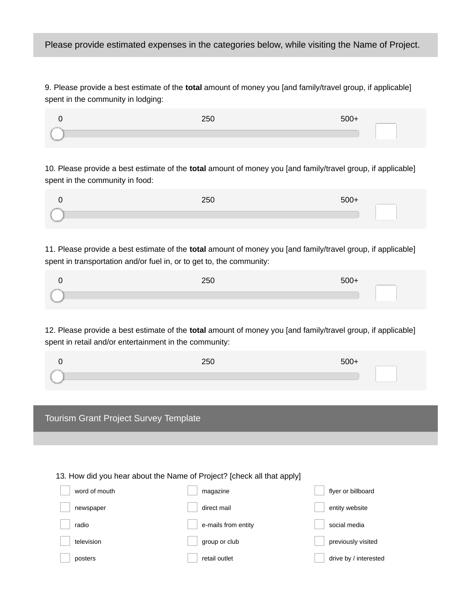9. Please provide a best estimate of the **total** amount of money you [and family/travel group, if applicable] spent in the community in lodging:

| . . <i>.</i><br>250 | $\Gamma \cap C$ |
|---------------------|-----------------|
|                     |                 |

10. Please provide a best estimate of the **total** amount of money you [and family/travel group, if applicable] spent in the community in food:

| 250 | 500. |
|-----|------|
|     |      |

11. Please provide a best estimate of the **total** amount of money you [and family/travel group, if applicable] spent in transportation and/or fuel in, or to get to, the community:

| $- -$<br>∠ວເ |  |
|--------------|--|
|              |  |

12. Please provide a best estimate of the **total** amount of money you [and family/travel group, if applicable] spent in retail and/or entertainment in the community:

| $\sim$ $\sim$ $\sim$<br>∠5เ | $500+$ |
|-----------------------------|--------|
|                             |        |
|                             |        |

| Tourism Grant Project Survey Template                                  |  |
|------------------------------------------------------------------------|--|
|                                                                        |  |
|                                                                        |  |
|                                                                        |  |
| 13. How did you hear about the Name of Project? [check all that apply] |  |
|                                                                        |  |

| word of mouth | magazine            | flyer or billboard    |
|---------------|---------------------|-----------------------|
| newspaper     | direct mail         | entity website        |
| radio         | e-mails from entity | social media          |
| television    | group or club       | previously visited    |
| posters       | retail outlet       | drive by / interested |